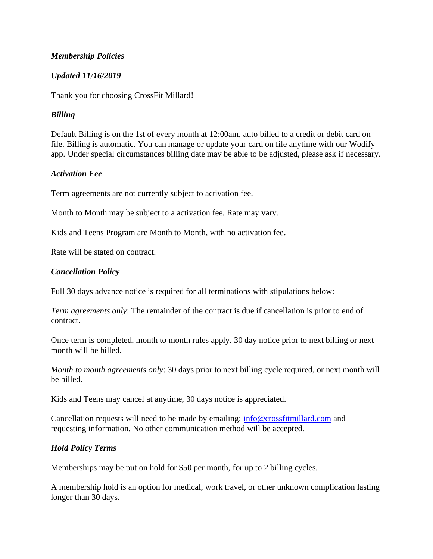#### *Membership Policies*

## *Updated 11/16/2019*

Thank you for choosing CrossFit Millard!

# *Billing*

Default Billing is on the 1st of every month at 12:00am, auto billed to a credit or debit card on file. Billing is automatic. You can manage or update your card on file anytime with our Wodify app. Under special circumstances billing date may be able to be adjusted, please ask if necessary.

#### *Activation Fee*

Term agreements are not currently subject to activation fee.

Month to Month may be subject to a activation fee. Rate may vary.

Kids and Teens Program are Month to Month, with no activation fee.

Rate will be stated on contract.

# *Cancellation Policy*

Full 30 days advance notice is required for all terminations with stipulations below:

*Term agreements only*: The remainder of the contract is due if cancellation is prior to end of contract.

Once term is completed, month to month rules apply. 30 day notice prior to next billing or next month will be billed.

*Month to month agreements only*: 30 days prior to next billing cycle required, or next month will be billed.

Kids and Teens may cancel at anytime, 30 days notice is appreciated.

Cancellation requests will need to be made by emailing:  $\frac{info@crossfitmillard.com}{info@crossfit millard.com}$  $\frac{info@crossfitmillard.com}{info@crossfit millard.com}$  $\frac{info@crossfitmillard.com}{info@crossfit millard.com}$  and requesting information. No other communication method will be accepted.

#### *Hold Policy Terms*

Memberships may be put on hold for \$50 per month, for up to 2 billing cycles.

A membership hold is an option for medical, work travel, or other unknown complication lasting longer than 30 days.